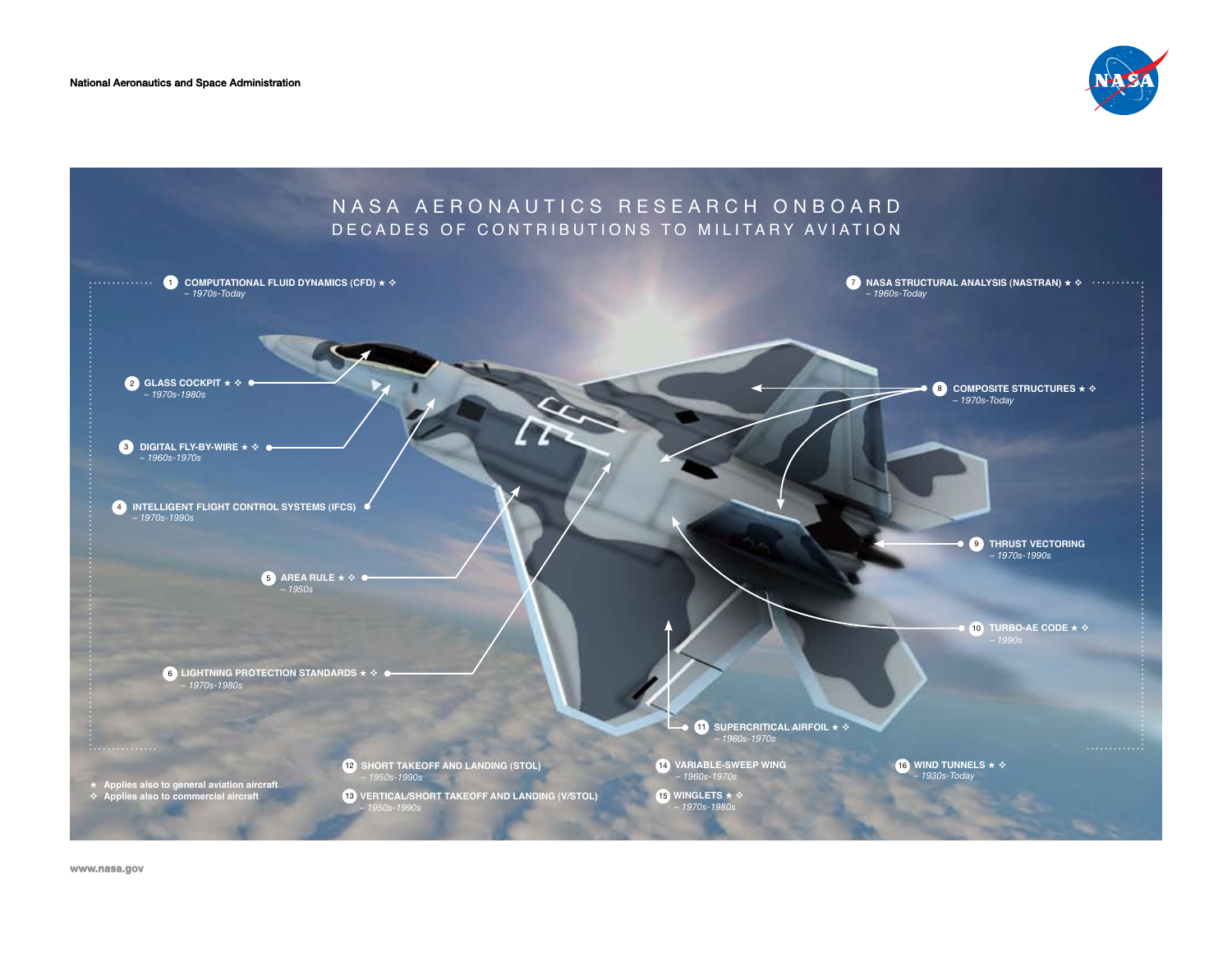National Aeronautics and Space Administration